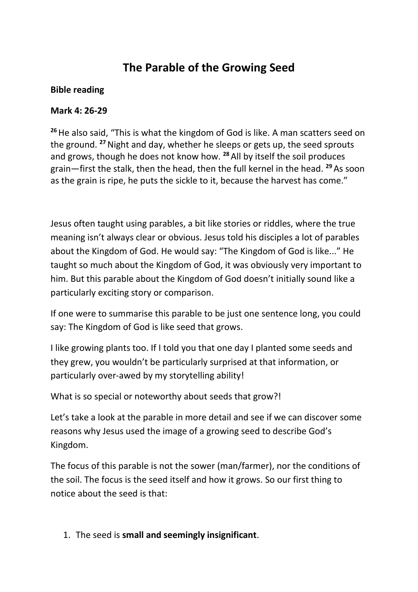# **The Parable of the Growing Seed**

#### **Bible reading**

### **Mark 4: 26-29**

**<sup>26</sup>**He also said, "This is what the kingdom of God is like. A man scatters seed on the ground. **<sup>27</sup>**Night and day, whether he sleeps or gets up, the seed sprouts and grows, though he does not know how. **<sup>28</sup>** All by itself the soil produces grain—first the stalk, then the head, then the full kernel in the head. **<sup>29</sup>** As soon as the grain is ripe, he puts the sickle to it, because the harvest has come."

Jesus often taught using parables, a bit like stories or riddles, where the true meaning isn't always clear or obvious. Jesus told his disciples a lot of parables about the Kingdom of God. He would say: "The Kingdom of God is like..." He taught so much about the Kingdom of God, it was obviously very important to him. But this parable about the Kingdom of God doesn't initially sound like a particularly exciting story or comparison.

If one were to summarise this parable to be just one sentence long, you could say: The Kingdom of God is like seed that grows.

I like growing plants too. If I told you that one day I planted some seeds and they grew, you wouldn't be particularly surprised at that information, or particularly over-awed by my storytelling ability!

What is so special or noteworthy about seeds that grow?!

Let's take a look at the parable in more detail and see if we can discover some reasons why Jesus used the image of a growing seed to describe God's Kingdom.

The focus of this parable is not the sower (man/farmer), nor the conditions of the soil. The focus is the seed itself and how it grows. So our first thing to notice about the seed is that:

## 1. The seed is **small and seemingly insignificant**.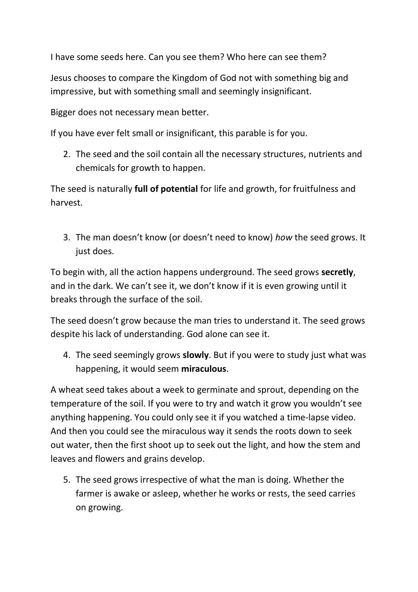I have some seeds here. Can you see them? Who here can see them?

Jesus chooses to compare the Kingdom of God not with something big and impressive, but with something small and seemingly insignificant.

Bigger does not necessary mean better.

If you have ever felt small or insignificant, this parable is for you.

2. The seed and the soil contain all the necessary structures, nutrients and chemicals for growth to happen.

The seed is naturally **full of potential** for life and growth, for fruitfulness and harvest.

3. The man doesn't know (or doesn't need to know) *how* the seed grows. It just does.

To begin with, all the action happens underground. The seed grows **secretly**, and in the dark. We can't see it, we don't know if it is even growing until it breaks through the surface of the soil.

The seed doesn't grow because the man tries to understand it. The seed grows despite his lack of understanding. God alone can see it.

4. The seed seemingly grows **slowly**. But if you were to study just what was happening, it would seem **miraculous**.

A wheat seed takes about a week to germinate and sprout, depending on the temperature of the soil. If you were to try and watch it grow you wouldn't see anything happening. You could only see it if you watched a time-lapse video. And then you could see the miraculous way it sends the roots down to seek out water, then the first shoot up to seek out the light, and how the stem and leaves and flowers and grains develop.

5. The seed grows irrespective of what the man is doing. Whether the farmer is awake or asleep, whether he works or rests, the seed carries on growing.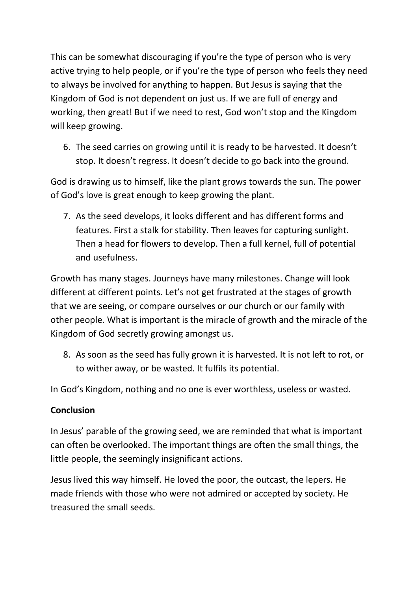This can be somewhat discouraging if you're the type of person who is very active trying to help people, or if you're the type of person who feels they need to always be involved for anything to happen. But Jesus is saying that the Kingdom of God is not dependent on just us. If we are full of energy and working, then great! But if we need to rest, God won't stop and the Kingdom will keep growing.

6. The seed carries on growing until it is ready to be harvested. It doesn't stop. It doesn't regress. It doesn't decide to go back into the ground.

God is drawing us to himself, like the plant grows towards the sun. The power of God's love is great enough to keep growing the plant.

7. As the seed develops, it looks different and has different forms and features. First a stalk for stability. Then leaves for capturing sunlight. Then a head for flowers to develop. Then a full kernel, full of potential and usefulness.

Growth has many stages. Journeys have many milestones. Change will look different at different points. Let's not get frustrated at the stages of growth that we are seeing, or compare ourselves or our church or our family with other people. What is important is the miracle of growth and the miracle of the Kingdom of God secretly growing amongst us.

8. As soon as the seed has fully grown it is harvested. It is not left to rot, or to wither away, or be wasted. It fulfils its potential.

In God's Kingdom, nothing and no one is ever worthless, useless or wasted.

## **Conclusion**

In Jesus' parable of the growing seed, we are reminded that what is important can often be overlooked. The important things are often the small things, the little people, the seemingly insignificant actions.

Jesus lived this way himself. He loved the poor, the outcast, the lepers. He made friends with those who were not admired or accepted by society. He treasured the small seeds.